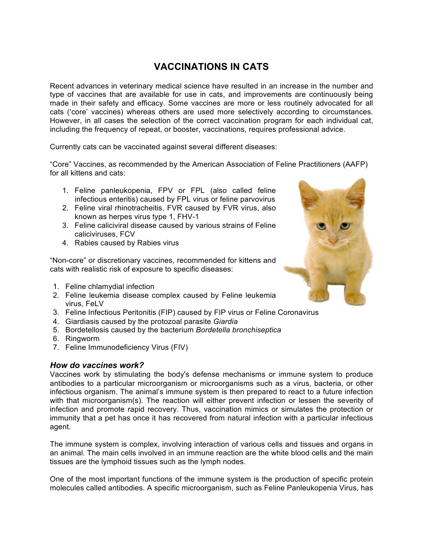# **VACCINATIONS IN CATS**

Recent advances in veterinary medical science have resulted in an increase in the number and type of vaccines that are available for use in cats, and improvements are continuously being made in their safety and efficacy. Some vaccines are more or less routinely advocated for all cats ('core' vaccines) whereas others are used more selectively according to circumstances. However, in all cases the selection of the correct vaccination program for each individual cat, including the frequency of repeat, or booster, vaccinations, requires professional advice.

Currently cats can be vaccinated against several different diseases:

"Core" Vaccines, as recommended by the American Association of Feline Practitioners (AAFP) for all kittens and cats:

- 1. Feline panleukopenia, FPV or FPL (also called feline infectious enteritis) caused by FPL virus or feline parvovirus
- 2. Feline viral rhinotracheitis, FVR caused by FVR virus, also known as herpes virus type 1, FHV-1
- 3. Feline caliciviral disease caused by various strains of Feline caliciviruses, FCV
- 4. Rabies caused by Rabies virus

"Non-core" or discretionary vaccines, recommended for kittens and cats with realistic risk of exposure to specific diseases:

- 1. Feline chlamydial infection
- 2. Feline leukemia disease complex caused by Feline leukemia virus, FeLV
- 3. Feline Infectious Peritonitis (FIP) caused by FIP virus or Feline Coronavirus
- 4. Giardiasis caused by the protozoal parasite *Giardia*
- 5. Bordetellosis caused by the bacterium *Bordetella bronchiseptica*
- 6. Ringworm
- 7. Feline Immunodeficiency Virus (FIV)

#### *How do vaccines work?*

Vaccines work by stimulating the body's defense mechanisms or immune system to produce antibodies to a particular microorganism or microorganisms such as a virus, bacteria, or other infectious organism. The animal's immune system is then prepared to react to a future infection with that microorganism(s). The reaction will either prevent infection or lessen the severity of infection and promote rapid recovery. Thus, vaccination mimics or simulates the protection or immunity that a pet has once it has recovered from natural infection with a particular infectious agent.

The immune system is complex, involving interaction of various cells and tissues and organs in an animal. The main cells involved in an immune reaction are the white blood cells and the main tissues are the lymphoid tissues such as the lymph nodes.

One of the most important functions of the immune system is the production of specific protein molecules called antibodies. A specific microorganism, such as Feline Panleukopenia Virus, has

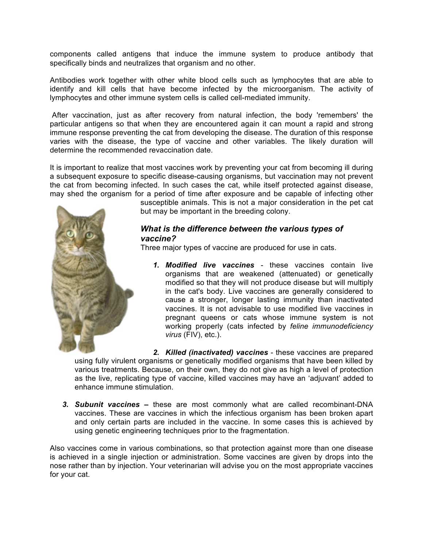components called antigens that induce the immune system to produce antibody that specifically binds and neutralizes that organism and no other.

Antibodies work together with other white blood cells such as lymphocytes that are able to identify and kill cells that have become infected by the microorganism. The activity of lymphocytes and other immune system cells is called cell-mediated immunity.

After vaccination, just as after recovery from natural infection, the body 'remembers' the particular antigens so that when they are encountered again it can mount a rapid and strong immune response preventing the cat from developing the disease. The duration of this response varies with the disease, the type of vaccine and other variables. The likely duration will determine the recommended revaccination date.

It is important to realize that most vaccines work by preventing your cat from becoming ill during a subsequent exposure to specific disease-causing organisms, but vaccination may not prevent the cat from becoming infected. In such cases the cat, while itself protected against disease, may shed the organism for a period of time after exposure and be capable of infecting other



susceptible animals. This is not a major consideration in the pet cat but may be important in the breeding colony.

# *What is the difference between the various types of vaccine?*

Three major types of vaccine are produced for use in cats.

*1. Modified live vaccines* - these vaccines contain live organisms that are weakened (attenuated) or genetically modified so that they will not produce disease but will multiply in the cat's body. Live vaccines are generally considered to cause a stronger, longer lasting immunity than inactivated vaccines. It is not advisable to use modified live vaccines in pregnant queens or cats whose immune system is not working properly (cats infected by *feline immunodeficiency virus* (FIV), etc.).

*2. Killed (inactivated) vaccines* - these vaccines are prepared using fully virulent organisms or genetically modified organisms that have been killed by various treatments. Because, on their own, they do not give as high a level of protection as the live, replicating type of vaccine, killed vaccines may have an 'adjuvant' added to enhance immune stimulation.

*3. Subunit vaccines* **–** these are most commonly what are called recombinant-DNA vaccines. These are vaccines in which the infectious organism has been broken apart and only certain parts are included in the vaccine. In some cases this is achieved by using genetic engineering techniques prior to the fragmentation.

Also vaccines come in various combinations, so that protection against more than one disease is achieved in a single injection or administration. Some vaccines are given by drops into the nose rather than by injection. Your veterinarian will advise you on the most appropriate vaccines for your cat.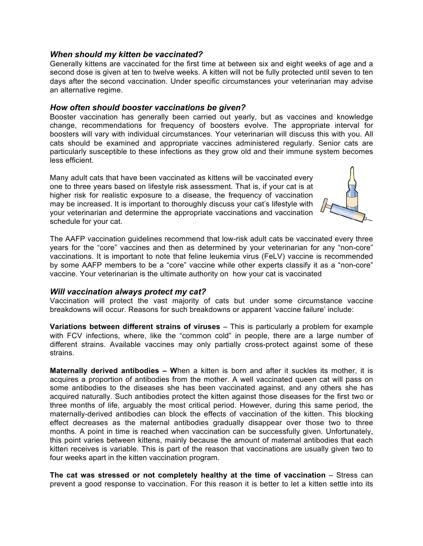## *When should my kitten be vaccinated?*

Generally kittens are vaccinated for the first time at between six and eight weeks of age and a second dose is given at ten to twelve weeks. A kitten will not be fully protected until seven to ten days after the second vaccination. Under specific circumstances your veterinarian may advise an alternative regime.

# *How often should booster vaccinations be given?*

Booster vaccination has generally been carried out yearly, but as vaccines and knowledge change, recommendations for frequency of boosters evolve. The appropriate interval for boosters will vary with individual circumstances. Your veterinarian will discuss this with you. All cats should be examined and appropriate vaccines administered regularly. Senior cats are particularly susceptible to these infections as they grow old and their immune system becomes less efficient.

Many adult cats that have been vaccinated as kittens will be vaccinated every one to three years based on lifestyle risk assessment. That is, if your cat is at higher risk for realistic exposure to a disease, the frequency of vaccination may be increased. It is important to thoroughly discuss your cat's lifestyle with your veterinarian and determine the appropriate vaccinations and vaccination schedule for your cat.



The AAFP vaccination guidelines recommend that low-risk adult cats be vaccinated every three years for the "core" vaccines and then as determined by your veterinarian for any "non-core" vaccinations. It is important to note that feline leukemia virus (FeLV) vaccine is recommended by some AAFP members to be a "core" vaccine while other experts classify it as a "non-core" vaccine. Your veterinarian is the ultimate authority on how your cat is vaccinated

#### *Will vaccination always protect my cat?*

Vaccination will protect the vast majority of cats but under some circumstance vaccine breakdowns will occur. Reasons for such breakdowns or apparent 'vaccine failure' include:

**Variations between different strains of viruses** – This is particularly a problem for example with FCV infections, where, like the "common cold" in people, there are a large number of different strains. Available vaccines may only partially cross-protect against some of these strains.

**Maternally derived antibodies – W**hen a kitten is born and after it suckles its mother, it is acquires a proportion of antibodies from the mother. A well vaccinated queen cat will pass on some antibodies to the diseases she has been vaccinated against, and any others she has acquired naturally. Such antibodies protect the kitten against those diseases for the first two or three months of life, arguably the most critical period. However, during this same period, the maternally-derived antibodies can block the effects of vaccination of the kitten. This blocking effect decreases as the maternal antibodies gradually disappear over those two to three months. A point in time is reached when vaccination can be successfully given. Unfortunately, this point varies between kittens, mainly because the amount of maternal antibodies that each kitten receives is variable. This is part of the reason that vaccinations are usually given two to four weeks apart in the kitten vaccination program.

**The cat was stressed or not completely healthy at the time of vaccination** – Stress can prevent a good response to vaccination. For this reason it is better to let a kitten settle into its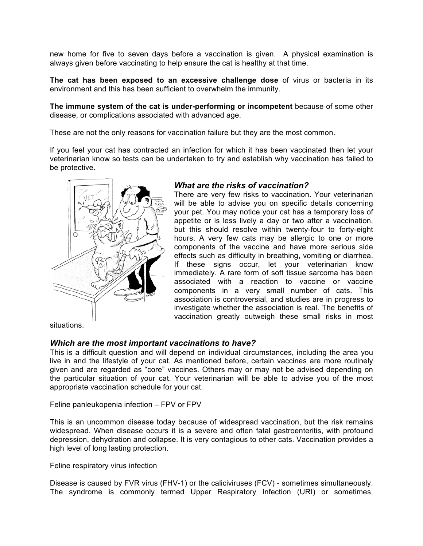new home for five to seven days before a vaccination is given. A physical examination is always given before vaccinating to help ensure the cat is healthy at that time.

**The cat has been exposed to an excessive challenge dose** of virus or bacteria in its environment and this has been sufficient to overwhelm the immunity.

**The immune system of the cat is under-performing or incompetent** because of some other disease, or complications associated with advanced age.

These are not the only reasons for vaccination failure but they are the most common.

If you feel your cat has contracted an infection for which it has been vaccinated then let your veterinarian know so tests can be undertaken to try and establish why vaccination has failed to be protective.



## *What are the risks of vaccination?*

There are very few risks to vaccination. Your veterinarian will be able to advise you on specific details concerning your pet. You may notice your cat has a temporary loss of appetite or is less lively a day or two after a vaccination, but this should resolve within twenty-four to forty-eight hours. A very few cats may be allergic to one or more components of the vaccine and have more serious side effects such as difficulty in breathing, vomiting or diarrhea. If these signs occur, let your veterinarian know immediately. A rare form of soft tissue sarcoma has been associated with a reaction to vaccine or vaccine components in a very small number of cats. This association is controversial, and studies are in progress to investigate whether the association is real. The benefits of vaccination greatly outweigh these small risks in most

situations.

#### *Which are the most important vaccinations to have?*

This is a difficult question and will depend on individual circumstances, including the area you live in and the lifestyle of your cat. As mentioned before, certain vaccines are more routinely given and are regarded as "core" vaccines. Others may or may not be advised depending on the particular situation of your cat. Your veterinarian will be able to advise you of the most appropriate vaccination schedule for your cat.

Feline panleukopenia infection – FPV or FPV

This is an uncommon disease today because of widespread vaccination, but the risk remains widespread. When disease occurs it is a severe and often fatal gastroenteritis, with profound depression, dehydration and collapse. It is very contagious to other cats. Vaccination provides a high level of long lasting protection.

Feline respiratory virus infection

Disease is caused by FVR virus (FHV-1) or the caliciviruses (FCV) - sometimes simultaneously. The syndrome is commonly termed Upper Respiratory Infection (URI) or sometimes,